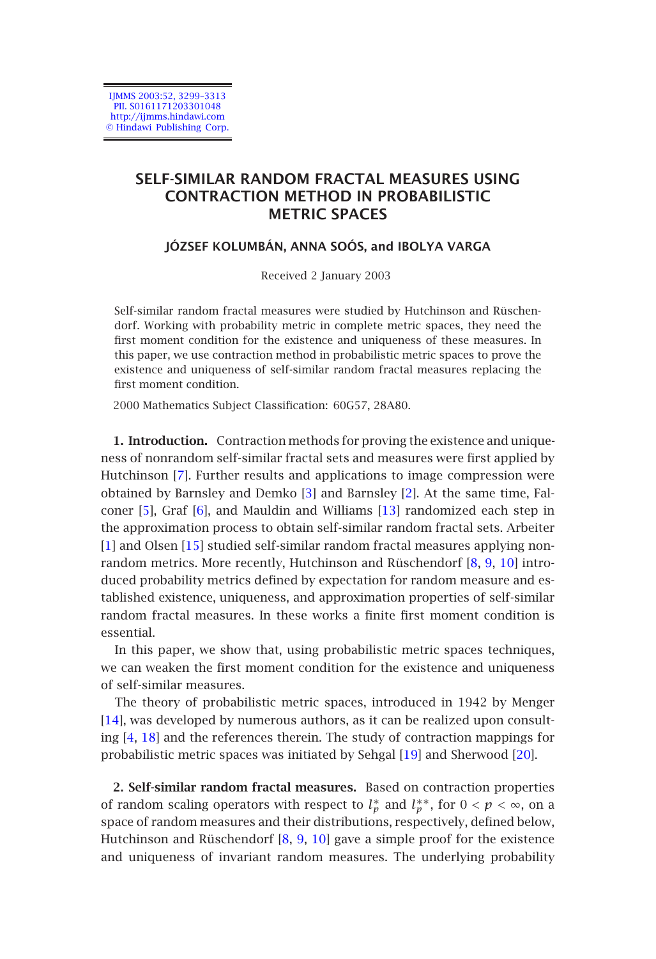IJMMS 2003:52, 3299–3313 PII. S0161171203301048 http://ijmms.hindawi.com © Hindawi Publishing Corp.

# **SELF-SIMILAR RANDOM FRACTAL MEASURES USING CONTRACTION METHOD IN PROBABILISTIC METRIC SPACES**

#### **JÓZSEF KOLUMBÁN, ANNA SOÓS, and IBOLYA VARGA**

Received 2 January 2003

Self-similar random fractal measures were studied by Hutchinson and Rüschendorf. Work[ing](#page-13-0) with probability metric in complete metric spaces, they need the first moment condition for the exi[ste](#page-13-1)nce and unique[nes](#page-13-2)s of these measures. In this [pap](#page-13-3)er, we [use](#page-13-4) contraction method in probabili[stic](#page-13-5) metric spaces to prove the existence and uniqueness of self-similar random fractal measures replacing the first moment [con](#page-14-0)dition.

2000 Mathematics Subject Classification: 60G57, 28A80.

**1. Introduction.** Contraction methods for proving the existence and uniqueness of nonrandom self-similar fractal sets and measures were first applied by Hutchinson [7]. Further results and applications to image compression were obtained by Barnsley and Demko [3] and Barnsley [2]. At the same time, Falconer [5], Graf [6], and Mauldin and Williams [13] randomized each step in the approximation process to obtain self-similar random fractal sets. Arbeiter [1] and Olsen [15] studied self-similar random fractal measures applying non[rand](#page-13-6)om metrics. More recently, Hutchinson and Rüschendorf [8, 9, 10] introduc[ed](#page-13-7) [pro](#page-14-1)bability metrics defined by expectation for random measure and established existence, uniqueness, and approximatio[n pr](#page-14-2)operties of self[-sim](#page-14-3)ilar random fractal measures. In these works a finite first moment condition is essential.

In this paper, we show that, using probabilistic metric spaces techniques, we can weaken the first moment condition for the existence and uniqueness of self-similar measures.

The theory of probabilistic metric spaces, introduced in 1942 by Menger [14], was developed by numerous authors, as it can be realized upon consulting [4, 18] and the references therein. The study of contraction mappings for probabilistic metric spaces was initiated by Sehgal [19] and Sherwood [20].

**2. Self-similar random fractal measures.** Based on contraction properties of random scaling operators with respect to  $l_p^*$  and  $l_p^{**}$ , for  $0 < p < \infty$ , on a space of random measures and their distributions, respectively, defined below, Hutchinson and Rüschendorf [8, 9, 10] gave a simple proof for the existence and uniqueness of invariant random measures. The underlying probability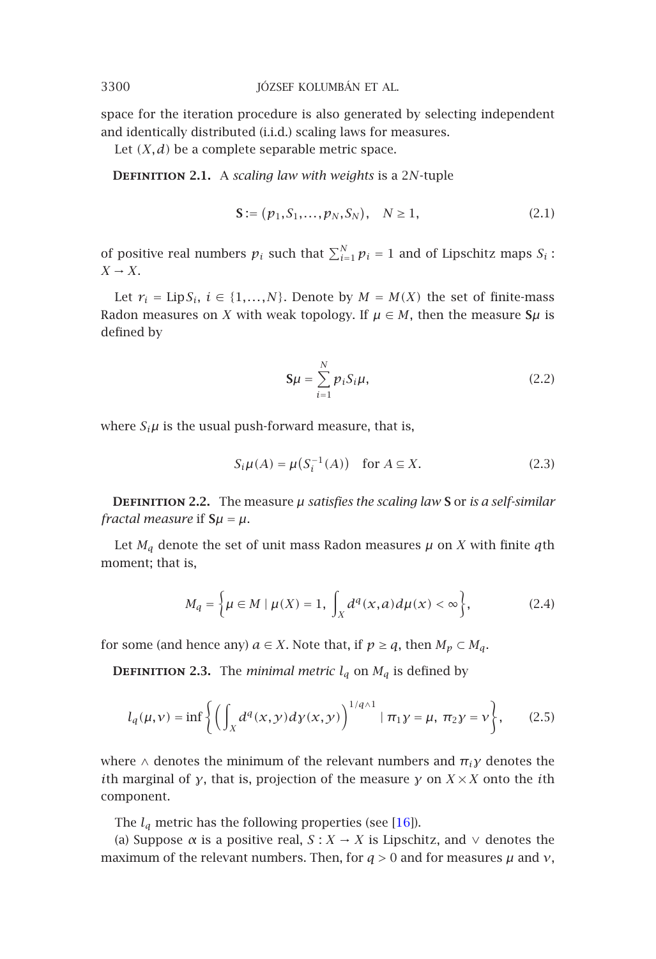space for the iteration procedure is also generated by selecting independent and identically distributed (i.i.d.) scaling laws for measures.

Let  $(X, d)$  be a complete separable metric space.

**Definition 2.1.** A *scaling law with weights* is a 2*N*-tuple

$$
\mathbf{S} := (p_1, S_1, \dots, p_N, S_N), \quad N \ge 1,\tag{2.1}
$$

of positive real numbers  $p_i$  such that  $\sum_{i=1}^{N} p_i = 1$  and of Lipschitz maps  $S_i$ :  $X \rightarrow X$ .

Let  $r_i = \text{Lip}\,S_i, i \in \{1, ..., N\}$ . Denote by  $M = M(X)$  the set of finite-mass Radon measures on *X* with weak topology. If  $\mu \in M$ , then the measure  $\mathsf{S}\mu$  is defined by

$$
\mathbf{S}\boldsymbol{\mu} = \sum_{i=1}^{N} p_i S_i \boldsymbol{\mu}, \qquad (2.2)
$$

where  $S_i\mu$  is the usual push-forward measure, that is,

$$
S_i\mu(A) = \mu(S_i^{-1}(A)) \quad \text{for } A \subseteq X. \tag{2.3}
$$

**DEFINITION 2.2.** The measure  $\mu$  *satisfies the scaling law* **S** or *is a self-similar fractal measure* if  $S\mu = \mu$ .

Let  $M_q$  denote the set of unit mass Radon measures  $\mu$  on  $X$  with finite  $q$ th moment; that is,

$$
M_q = \left\{ \mu \in M \mid \mu(X) = 1, \int_X d^q(x, a) d\mu(x) < \infty \right\},\tag{2.4}
$$

for some (and hence any)  $a \in X$ . Note that, if  $p \geq q$ , then  $M_p \subset M_q$ .

**DEFINITION 2.3.** The *minimal metric*  $l_q$  on  $M_q$  [is d](#page-14-4)efined by

$$
l_q(\mu, \nu) = \inf \left\{ \left( \int_X d^q(x, y) dy(x, y) \right)^{1/q \wedge 1} | \pi_1 y = \mu, \ \pi_2 y = \nu \right\}, \tag{2.5}
$$

where  $\wedge$  denotes the minimum of the relevant numbers and  $\pi_i \gamma$  denotes the *i*th marginal of *γ*, that is, projection of the measure *γ* on *X* ×*X* onto the *i*th component.

The  $l_q$  metric has the following properties (see [16]).

(a) Suppose  $\alpha$  is a positive real,  $S: X \rightarrow X$  is Lipschitz, and  $\vee$  denotes the maximum of the relevant numbers. Then, for  $q > 0$  and for measures  $\mu$  and  $\nu$ ,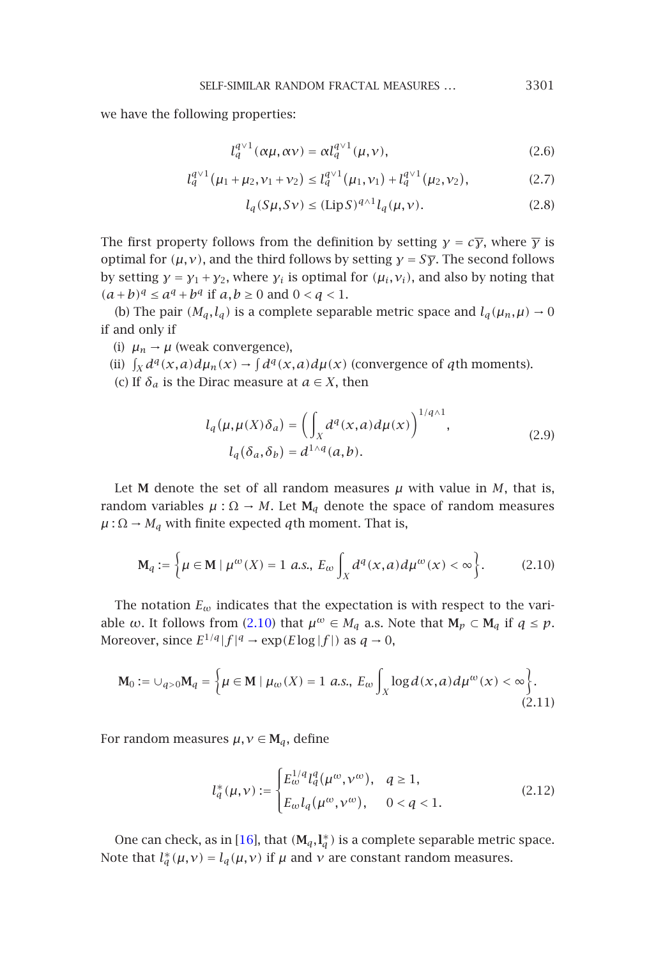we have the following properties:

$$
l_q^{q \vee 1}(\alpha \mu, \alpha \nu) = \alpha l_q^{q \vee 1}(\mu, \nu), \qquad (2.6)
$$

$$
l_q^{q \vee 1}(\mu_1 + \mu_2, \nu_1 + \nu_2) \le l_q^{q \vee 1}(\mu_1, \nu_1) + l_q^{q \vee 1}(\mu_2, \nu_2), \tag{2.7}
$$

$$
l_q(S\mu, S\nu) \le (\text{Lip} S)^{q \wedge 1} l_q(\mu, \nu). \tag{2.8}
$$

The first property follows from the definition by setting *γ* =  $c\overline{y}$ , where  $\overline{y}$  is optimal for  $(\mu, \nu)$ , and the third follows by setting  $\gamma = S\overline{\gamma}$ . The second follows by setting  $\gamma = y_1 + y_2$ , where  $y_i$  is optimal for  $(\mu_i, v_i)$ , and also by noting that  $(a + b)^q$  ≤  $a^q + b^q$  if  $a, b ≥ 0$  and  $0 < q < 1$ .

(b) The pair  $(M_q, l_q)$  is a complete separable metric space and  $l_q(\mu_n, \mu) \rightarrow 0$ if and only if

(i)  $\mu_n \rightarrow \mu$  (weak convergence),

(ii)  $\int_X d^q(x,a) d\mu_n(x) \to \int d^q(x,a) d\mu(x)$  (convergence of *q*th moments). (c) If  $\delta_a$  is the Dirac measure at  $a \in X$ , then

$$
l_q(\mu, \mu(X)\delta_a) = \left(\int_X d^q(x, a) d\mu(x)\right)^{1/q \wedge 1},
$$
  
\n
$$
l_q(\delta_a, \delta_b) = d^{1 \wedge q}(a, b).
$$
\n(2.9)

Let **M** denote the set of all random measures  $\mu$  with value in  $M$ , that is, random variables  $\mu : \Omega \to M$ . Let  $M_q$  denote the space of random measures  $\mu$  :  $\Omega \rightarrow M_q$  with finite expected *q*th moment. That is,

$$
\mathbf{M}_q := \left\{ \mu \in \mathbf{M} \mid \mu^{\omega}(X) = 1 \text{ a.s., } E_{\omega} \int_X d^q(x, a) d\mu^{\omega}(x) < \infty \right\}. \tag{2.10}
$$

The notation  $E_{\omega}$  indicates that the expectation is with respect to the variable *w*. It follows from (2.10) that  $\mu^{\omega} \in M_q$  a.s. Note that  $M_p \subset M_q$  if  $q \leq p$ . Moreover, since  $E^{1/q} |f|^{q} \rightarrow \exp(E \log |f|)$  as  $q \rightarrow 0$ ,

$$
\mathbf{M}_0 := \bigcup_{q > 0} \mathbf{M}_q = \left\{ \mu \in \mathbf{M} \mid \mu_\omega(X) = 1 \text{ a.s., } E_\omega \int_X \log d(x, a) d\mu^\omega(x) < \infty \right\}.
$$
\n(2.11)

For random measures  $\mu, \nu \in M_q$ , define

$$
l_q^*(\mu, \nu) := \begin{cases} E_{\omega}^{1/q} l_q^q(\mu^{\omega}, \nu^{\omega}), & q \ge 1, \\ E_{\omega} l_q(\mu^{\omega}, \nu^{\omega}), & 0 < q < 1. \end{cases}
$$
 (2.12)

One can check, as in [16], that  $(M_q, I_q^*)$  is a complete separable metric space. Note that  $l_a^*(\mu, \nu) = l_q(\mu, \nu)$  if  $\mu$  and  $\nu$  are constant random measures.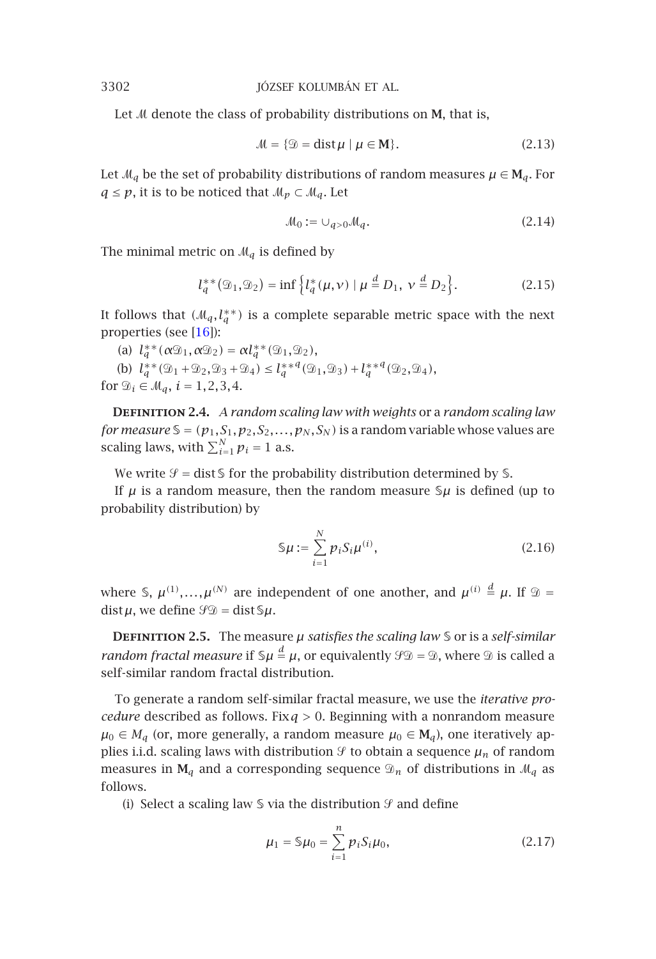Let *M* denote the class of probability distributions on **M**, that is,

$$
\mathcal{M} = \{ \mathcal{D} = \text{dist}\,\mu \mid \mu \in \mathbf{M} \}. \tag{2.13}
$$

Let  $\mathcal{M}_q$  be the s[et of](#page-14-4) probability distributions of random measures  $\mu \in M_q$ . For *q* ≤ *p*, it is to be noticed that  $M_p$  ⊂  $M_q$ . Let

$$
\mathcal{M}_0 := \cup_{q>0} \mathcal{M}_q. \tag{2.14}
$$

The minimal metric on  $\mathcal{M}_q$  is defined by

$$
l_q^{**}(\mathfrak{D}_1, \mathfrak{D}_2) = \inf \left\{ l_q^{*}(\mu, \nu) \mid \mu \stackrel{d}{=} D_1, \ \nu \stackrel{d}{=} D_2 \right\}.
$$
 (2.15)

It follows that  $(M_q, l_q^{**})$  is a complete separable metric space with the next properties (see [16]):

(a)  $l_q^{**}(\alpha \mathcal{D}_1, \alpha \mathcal{D}_2) = \alpha l_q^{**}(\mathcal{D}_1, \mathcal{D}_2)$ , (b)  $l_q^{**}(\mathfrak{D}_1 + \mathfrak{D}_2, \mathfrak{D}_3 + \mathfrak{D}_4) \leq l_q^{**}q(\mathfrak{D}_1, \mathfrak{D}_3) + l_q^{**}q(\mathfrak{D}_2, \mathfrak{D}_4)$ for  $\mathcal{D}_i \in \mathcal{M}_q$ ,  $i = 1, 2, 3, 4$ .

**Definition 2.4.** *A random scaling law with weights* or a *random scaling law for measure*  $\mathcal{S} = (p_1, S_1, p_2, S_2, \ldots, p_N, S_N)$  is a random variable whose values are scaling laws, with  $\sum_{i=1}^{N} p_i = 1$  a.s.

We write  $\mathcal{Y} = \text{dist}\,\mathsf{S}$  for the probability distribution determined by  $\mathsf{S}$ .

If  $\mu$  is a random measure, then the random measure  $\mathcal{S}\mu$  is defined (up to probability distribution) by

$$
\mathsf{S}\mu := \sum_{i=1}^{N} p_i S_i \mu^{(i)},\tag{2.16}
$$

where  $\oint$ ,  $\mu^{(1)},...,\mu^{(N)}$  are independent of one another, and  $\mu^{(i)} \stackrel{d}{=} \mu$ . If  $\mathcal{D} =$  $dist\mu$ , we define  $\mathcal{G}\mathcal{D} = dist\mathcal{S}\mu$ .

**DEFINITION 2.5.** The measure  $\mu$  *satisfies the scaling law*  $\delta$  or is a *self-similar random fractal measure* if  $\Im \mu \stackrel{d}{=} \mu$ , or equivalently  $\mathscr{G}\mathscr{D} = \mathscr{D}$ , where  $\mathscr{D}$  is called a self-similar random fractal distribution.

To generate a random self-similar fractal measure, we use the *iterative procedure* described as follows. Fix*q >* 0. Beginning with a nonrandom measure  $\mu_0$  ∈  $M_q$  (or, more generally, a random measure  $\mu_0$  ∈  $M_q$ ), one iteratively applies i.i.d. scaling laws with distribution  $\mathcal{Y}$  to obtain a sequence  $\mu_n$  of random measures in  $M_q$  and a corresponding sequence  $\mathcal{D}_n$  of distributions in  $\mathcal{M}_q$  as follows.

(i) Select a scaling law  $\mathcal S$  via the distribution  $\mathcal G$  and define

$$
\mu_1 = \mathcal{S}\mu_0 = \sum_{i=1}^n p_i S_i \mu_0, \qquad (2.17)
$$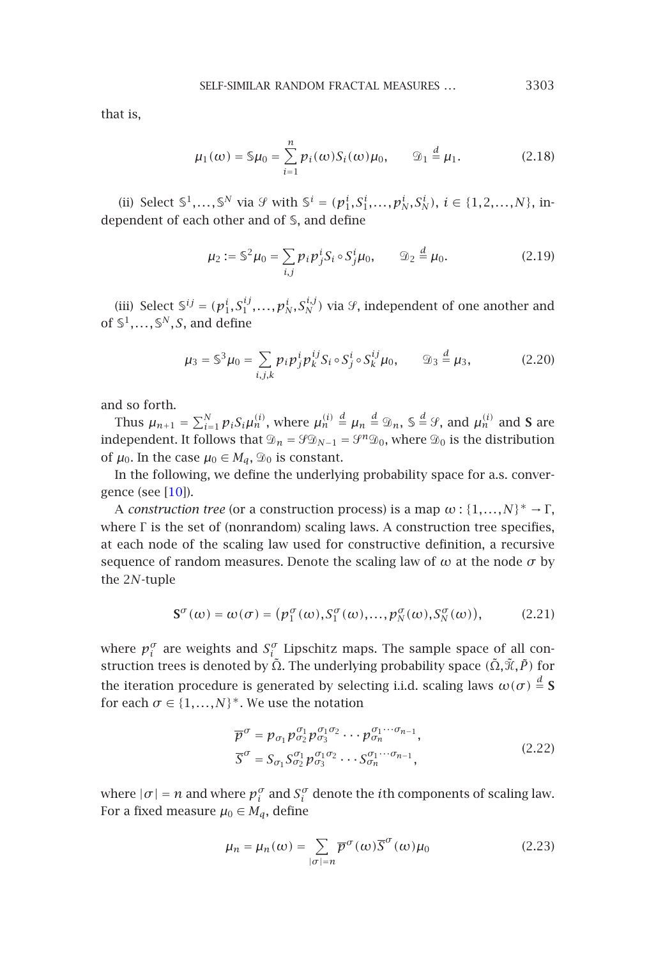SELF-SIMILAR RANDOM FRACTAL MEASURES *...* 3303

that is,

$$
\mu_1(\omega) = \mathsf{S}\mu_0 = \sum_{i=1}^n p_i(\omega) S_i(\omega) \mu_0, \qquad \mathfrak{D}_1 \stackrel{d}{=} \mu_1.
$$
 (2.18)

(ii) Select  $S^1, ..., S^N$  via  $\mathcal{G}$  with  $S^i = (p_1^i, S_1^i, ..., p_N^i, S_N^i), i \in \{1, 2, ..., N\},$  independent of each other and of S, and define

$$
\mu_2 := \mathbb{S}^2 \mu_0 = \sum_{i,j} p_i p_j^i S_i \circ S_j^i \mu_0, \qquad \mathfrak{D}_2 \stackrel{d}{=} \mu_0.
$$
 (2.19)

(iii) Select  $\mathcal{S}^{ij} = (p_1^i, S_1^{ij}, \ldots, p_N^i, S_N^{i,j})$  via  $\mathcal{G}$ , independent of one another and of  $\mathbb{S}^1, \ldots, \mathbb{S}^N, S$ , and define

$$
\mu_3 = \mathbb{S}^3 \mu_0 = \sum_{i,j,k} p_i p_j^i p_k^{ij} S_i \circ S_j^i \circ S_k^{ij} \mu_0, \qquad \mathcal{D}_3 \stackrel{d}{=} \mu_3,
$$
 (2.20)

and so forth.

Thus  $\mu_{n+1} = \sum_{i=1}^{N} p_i S_i \mu_n^{(i)}$ , where  $\mu_n^{(i)} \stackrel{d}{=} \mu_n \stackrel{d}{=} \mathfrak{D}_n$ ,  $\mathfrak{S} \stackrel{d}{=} \mathcal{G}$ , and  $\mu_n^{(i)}$  and **S** are independent. It follows that  $\mathcal{D}_n = \mathcal{G} \mathcal{D}_{N-1} = \mathcal{G}^n \mathcal{D}_0$ , where  $\mathcal{D}_0$  is the distribution of  $\mu_0$ . In the case  $\mu_0 \in M_q$ ,  $\mathcal{D}_0$  is constant.

In the following, we define the underlying probability space for a.s. convergence (see [10]).

A *construction tree* (or a construction process) is a map  $\omega$  : { $1,...,N$ }<sup>\*</sup> →  $\Gamma$ , where Γ is the set of (nonrandom) scaling laws. A construction tree specifies, at each node of the scaling law used for constructive definition, a recursive sequence of random measures. Denote the scaling law of  $\omega$  at the node  $\sigma$  by the 2*N*-tuple

$$
\mathbf{S}^{\sigma}(\omega) = \omega(\sigma) = (p_1^{\sigma}(\omega), S_1^{\sigma}(\omega), \dots, p_N^{\sigma}(\omega), S_N^{\sigma}(\omega)),
$$
 (2.21)

where  $p_i^{\sigma}$  are weights and  $S_i^{\sigma}$  Lipschitz maps. The sample space of all construction trees is denoted by  $\tilde{\Omega}$ . The underlying probability space *(* $\tilde{\Omega}$ *,* $\tilde{\mathcal{X}}$ *,P)* for the iteration procedure is generated by selecting i.i.d. scaling laws  $\omega(\sigma) \stackrel{d}{=} \mathbf{S}$ for each  $\sigma \in \{1,...,N\}^*$ . We use the notation

$$
\overline{p}^{\sigma} = p_{\sigma_1} p_{\sigma_2}^{\sigma_1} p_{\sigma_3}^{\sigma_1 \sigma_2} \cdots p_{\sigma_n}^{\sigma_1 \cdots \sigma_{n-1}},
$$
\n
$$
\overline{S}^{\sigma} = S_{\sigma_1} S_{\sigma_2}^{\sigma_1} p_{\sigma_3}^{\sigma_1 \sigma_2} \cdots S_{\sigma_n}^{\sigma_1 \cdots \sigma_{n-1}},
$$
\n(2.22)

where  $|\sigma| = n$  and where  $p_i^{\sigma}$  and  $S_i^{\sigma}$  denote the *i*th components of scaling law. For a fixed measure  $\mu_0 \in M_q$ , define

$$
\mu_n = \mu_n(\omega) = \sum_{|\sigma| = n} \overline{p}^{\sigma}(\omega) \overline{S}^{\sigma}(\omega) \mu_0
$$
\n(2.23)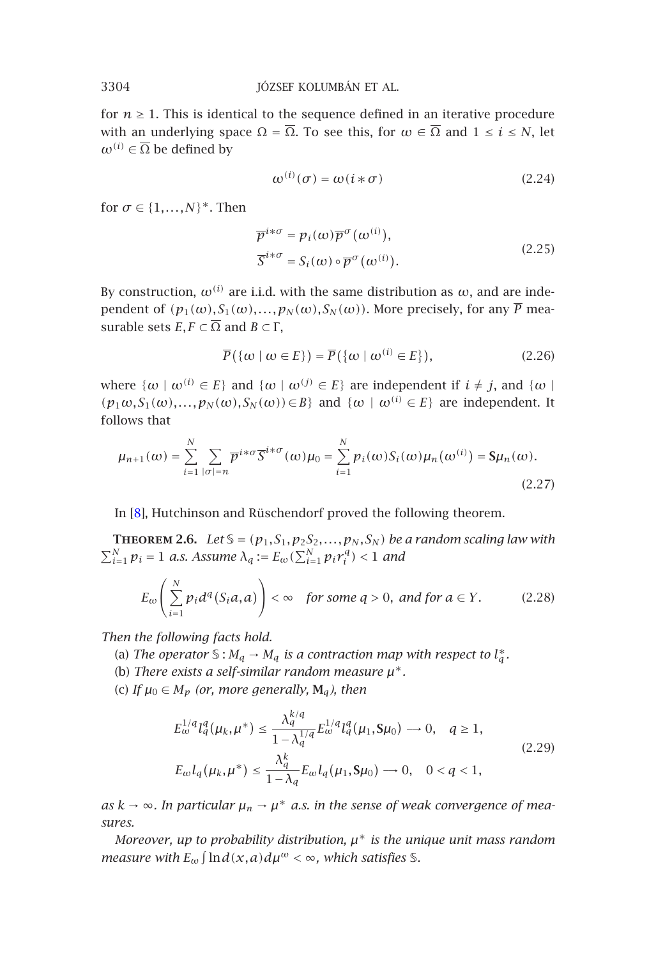for  $n \geq 1$ . This is identical to the sequence defined in an iterative procedure with an underlying space  $\Omega = \overline{\Omega}$ . To see this, for  $\omega \in \overline{\Omega}$  and  $1 \le i \le N$ , let  $\omega^{(i)} \in \overline{\Omega}$  be defined by

$$
\omega^{(i)}(\sigma) = \omega(i * \sigma) \tag{2.24}
$$

for  $\sigma \in \{1, \ldots, N\}^*$ . Then

$$
\overline{p}^{i*\sigma} = p_i(\omega)\overline{p}^{\sigma}(\omega^{(i)}),
$$
  
\n
$$
\overline{S}^{i*\sigma} = S_i(\omega) \circ \overline{p}^{\sigma}(\omega^{(i)}).
$$
\n(2.25)

By construction,  $\omega^{(i)}$  are i.i.d. with the same distribution as  $\omega$ , and are independent of  $(p_1(\omega), S_1(\omega),..., p_N(\omega), S_N(\omega))$ . More precisely, for any  $\overline{P}$  measurable sets *E*, *F*  $\subset \overline{\Omega}$  and *B*  $\subset \Gamma$ ,

<span id="page-5-0"></span>
$$
\overline{P}(\{\omega \mid \omega \in E\}) = \overline{P}(\{\omega \mid \omega^{(i)} \in E\}),\tag{2.26}
$$

where  $\{\omega \mid \omega^{(i)} \in E\}$  and  $\{\omega \mid \omega^{(j)} \in E\}$  are independent if  $i \neq j$ , and  $\{\omega \mid$  $(p_1\omega, S_1(\omega), \ldots, p_N(\omega), S_N(\omega)) \in B$ } and  $\{\omega \mid \omega^{(i)} \in E\}$  are independent. It follows that

$$
\mu_{n+1}(\omega) = \sum_{i=1}^{N} \sum_{|\sigma|=n} \overline{p}^{i*\sigma} \overline{S}^{i*\sigma}(\omega) \mu_0 = \sum_{i=1}^{N} p_i(\omega) S_i(\omega) \mu_n(\omega^{(i)}) = \mathbf{S} \mu_n(\omega).
$$
\n(2.27)

In [8], Hutchinson and Rüschendorf proved the following theorem.

**THEOREM 2.6.** *Let*  $\mathcal{S} = (p_1, S_1, p_2S_2, \ldots, p_N, S_N)$  *be a random scaling law with*  $\sum_{i=1}^{N} p_i = 1$  *a.s.* Assume  $\lambda_q := E_{\omega}(\sum_{i=1}^{N} p_i r_i^q) < 1$  and

$$
E_{\omega}\left(\sum_{i=1}^{N} p_i d^q(S_i a, a)\right) < \infty \quad \text{for some } q > 0, \text{ and for } a \in Y. \tag{2.28}
$$

*Then the following facts hold.*

(a) The operator  $\mathcal{S}: M_q \to M_q$  is a contraction map with respect to  $l_a^*$ .

(b) *There exists a self-similar random measure µ*∗*.*

(c) If  $\mu_0 \in M_p$  (or, more generally,  $M_q$ ), then

$$
E_{\omega}^{1/q} l_q^q(\mu_k, \mu^*) \le \frac{\lambda_q^{k/q}}{1 - \lambda_q^{1/q}} E_{\omega}^{1/q} l_q^q(\mu_1, \mathbf{S}\mu_0) \longrightarrow 0, \quad q \ge 1,
$$
  
\n
$$
E_{\omega} l_q(\mu_k, \mu^*) \le \frac{\lambda_q^k}{1 - \lambda_q} E_{\omega} l_q(\mu_1, \mathbf{S}\mu_0) \longrightarrow 0, \quad 0 < q < 1,
$$
\n(2.29)

*as*  $k \rightarrow ∞$ . In particular  $\mu_n \rightarrow \mu^*$  *a.s.* in the sense of weak convergence of mea*sures.*

*Moreover, up to probability distribution, µ*<sup>∗</sup> *is the unique unit mass random measure with*  $E_{\omega}$   $\int \ln d(x,a) d\mu^{\omega} < \infty$ , which satisfies S.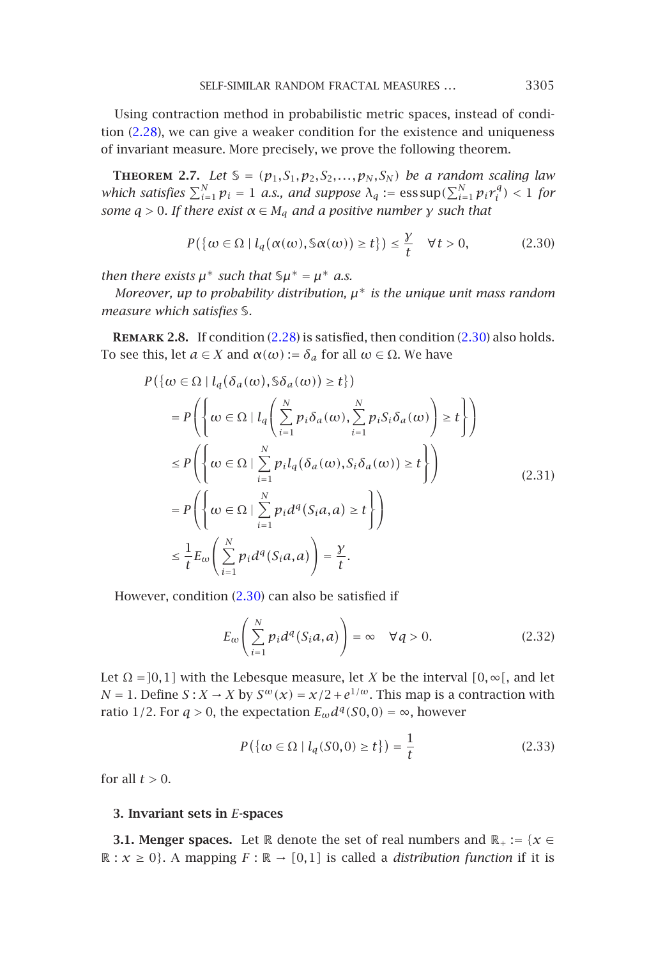<span id="page-6-2"></span>Using contraction method in probabilistic metric spaces, instead of condition (2.28), we can give a weaker condition for the existence and uniqueness of invariant measure. More precisely, we prove the following theorem.

**THEOREM** 2.7. Let  $S = (p_1, S_1, p_2, S_2, \ldots, p_N, S_N)$  be a ran[dom](#page-6-0) scaling law *which satisfies*  $\sum_{i=1}^{N} p_i = 1$  *a[.s.,](#page-5-0) [an](#page-5-0)d suppose*  $\lambda_q := \text{ess}\sup(\sum_{i=1}^{N} p_i r_i^q) < 1$  *for some*  $q > 0$ *. If there exist*  $\alpha \in M_q$  *and a positive number γ such that* 

<span id="page-6-0"></span>
$$
P(\{\omega \in \Omega \mid l_q(\alpha(\omega), \mathbb{S}\alpha(\omega)) \ge t\}) \le \frac{\gamma}{t} \quad \forall t > 0,
$$
 (2.30)

*then there exists*  $\mu^*$  *such that*  $\Im \mu^* = \mu^*$  *a.s.* 

*Moreover, up to probability distribution, µ*<sup>∗</sup> *is the unique unit mass random measure which satisfies* S*.*

**Remark 2.8.** If condition (2.28) is satisfied, then condition (2.30) also holds. To see this, let  $a \in X$  and  $\alpha(\omega) := \delta_a$  for all  $\omega \in \Omega$ . We have

$$
P\left(\lbrace \omega \in \Omega \mid l_q(\delta_a(\omega), \delta \delta_a(\omega)) \ge t \rbrace\right)
$$
  
\n
$$
= P\left(\left\lbrace \omega \in \Omega \mid l_q\left(\sum_{i=1}^N p_i \delta_a(\omega), \sum_{i=1}^N p_i S_i \delta_a(\omega) \right) \ge t \right\rbrace\right)
$$
  
\n
$$
\le P\left(\left\lbrace \omega \in \Omega \mid \sum_{i=1}^N p_i l_q(\delta_a(\omega), S_i \delta_a(\omega)) \ge t \right\rbrace\right)
$$
  
\n
$$
= P\left(\left\lbrace \omega \in \Omega \mid \sum_{i=1}^N p_i d^q(S_i a, a) \ge t \right\rbrace\right)
$$
  
\n
$$
\le \frac{1}{t} E_{\omega} \left(\sum_{i=1}^N p_i d^q(S_i a, a) \right) = \frac{\gamma}{t}.
$$
  
\n(2.31)

However, condition (2.30) can also be satisfied if

$$
E_{\omega}\left(\sum_{i=1}^{N} p_i d^q(S_i a, a)\right) = \infty \quad \forall q > 0.
$$
 (2.32)

<span id="page-6-1"></span>Let  $\Omega = [0,1]$  with the Lebesque measure, let *X* be the interval  $[0, \infty)$ , and let *N* = 1. Define *S* : *X* → *X* by  $S^{ω}(x) = x/2 + e^{1/ω}$ . This map is a contraction with ratio 1/2. For  $q > 0$ , the expectation  $E_{\omega}d^q(S0,0) = \infty$ , however

$$
P({\omega \in \Omega | l_q(S0,0) \ge t}) = \frac{1}{t}
$$
\n(2.33)

for all  $t > 0$ .

#### **3. Invariant sets in** *E***-spaces**

**3.1. Menger spaces.** Let R denote the set of real numbers and  $\mathbb{R}_+ := \{x \in \mathbb{R}^2 : |f(x)| \leq 1\}$  $\mathbb{R}: x \geq 0$ . A mapping  $F : \mathbb{R} \to [0,1]$  is called a *distribution function* if it is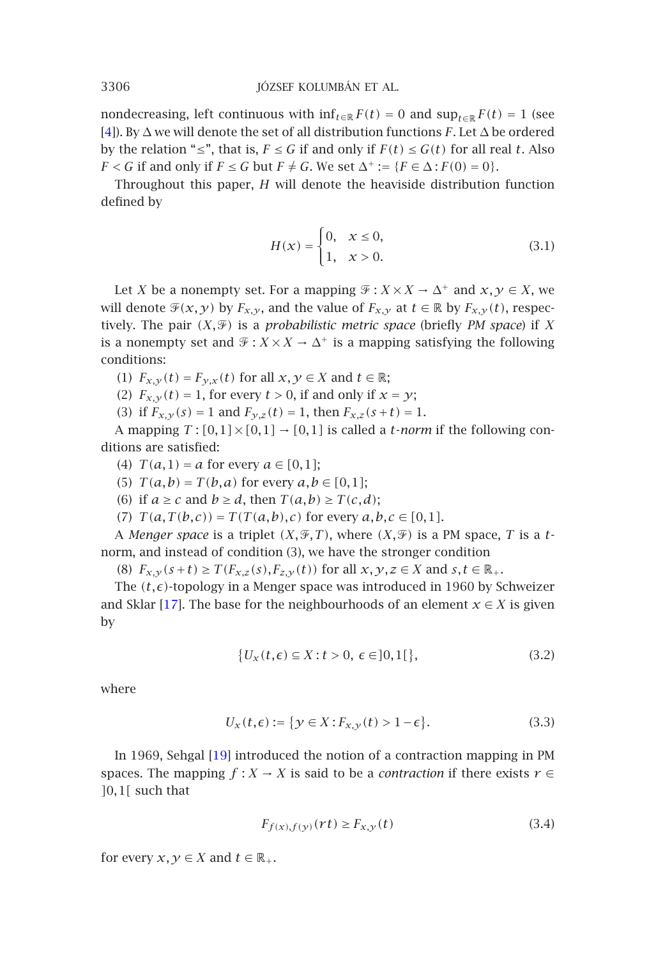nondecreasing, left continuous with  $\inf_{t \in \mathbb{R}} F(t) = 0$  and  $\sup_{t \in \mathbb{R}} F(t) = 1$  (see [4]). By ∆ we will denote the set of all distribution functions *F*. Let ∆ be ordered by the relation "≤", that is,  $F \le G$  if and only if  $F(t) \le G(t)$  for all real *t*. Also *F* < *G* if and only if *F* ≤ *G* but *F*  $\neq$  *G*. We set  $\Delta^+ := {F \in \Delta : F(0) = 0}.$ 

Throughout this paper, *H* will denote the heaviside distribution function defined by

$$
H(x) = \begin{cases} 0, & x \le 0, \\ 1, & x > 0. \end{cases}
$$
 (3.1)

Let *X* be a nonempty set. For a mapping  $\mathcal{F}: X \times X \to \Delta^+$  and  $x, y \in X$ , we will denote  $\mathcal{F}(x, y)$  by  $F_{x,y}$ , and the value of  $F_{x,y}$  at  $t \in \mathbb{R}$  by  $F_{x,y}(t)$ , respectively. The pair  $(X,\mathscr{F})$  is a *probabilistic metric space* (briefly *PM space*) if X is a nonempty set and  $\mathcal{F}: X \times X \to \Delta^+$  is a mapping satisfying the following conditions:

(1)  $F_{x,y}(t) = F_{y,x}(t)$  for all  $x, y \in X$  and  $t \in \mathbb{R}$ ;

(2)  $F_{x,y}(t) = 1$ , for every  $t > 0$ , if and only if  $x = y$ ;

(3) if  $F_{x,y}(s) = 1$  and  $F_{y,z}(t) = 1$ , then  $F_{x,z}(s+t) = 1$ .

A mapping  $T : [0,1] \times [0,1] \rightarrow [0,1]$  is called a *t*-*norm* if the following conditions ar[e sa](#page-14-5)tisfied:

(4)  $T(a, 1) = a$  for every  $a \in [0, 1]$ ;

(5)  $T(a,b) = T(b,a)$  for every  $a,b \in [0,1]$ ;

(6) if  $a \ge c$  and  $b \ge d$ , then  $T(a,b) \ge T(c,d)$ ;

(7)  $T(a,T(b,c)) = T(T(a,b),c)$  for every  $a,b,c \in [0,1]$ .

A *Menger space* is a triplet  $(X, \mathcal{F}, T)$ , where  $(X, \mathcal{F})$  is a PM space, T is a tnorm, and instead of condition (3), we have the stronger condition

(8)  $F_{x,y}(s+t) \geq T(F_{x,z}(s), F_{z,y}(t))$  for all  $x, y, z \in X$  and  $s, t \in \mathbb{R}_+$ .

The  $(t, \epsilon)$ -topology in a Menger space was introduced in 1960 by Schweizer and Sklar [17]. The [ba](#page-14-2)se for the neighbourhoods of an element  $x \in X$  is given by

$$
\{U_x(t,\epsilon) \subseteq X : t > 0, \epsilon \in ]0,1[\},\tag{3.2}
$$

where

$$
U_x(t,\epsilon) := \{ y \in X : F_{x,y}(t) > 1 - \epsilon \}. \tag{3.3}
$$

In 1969, Sehgal [19] introduced the notion of a contraction mapping in PM spaces. The mapping  $f : X \to X$  is said to be a *contraction* if there exists  $r \in$ *]*0*,*1*[* such that

$$
F_{f(x),f(y)}(rt) \ge F_{x,y}(t)
$$
\n(3.4)

for every *x*, *y*  $\in$  *X* and *t*  $\in$   $\mathbb{R}_+$ .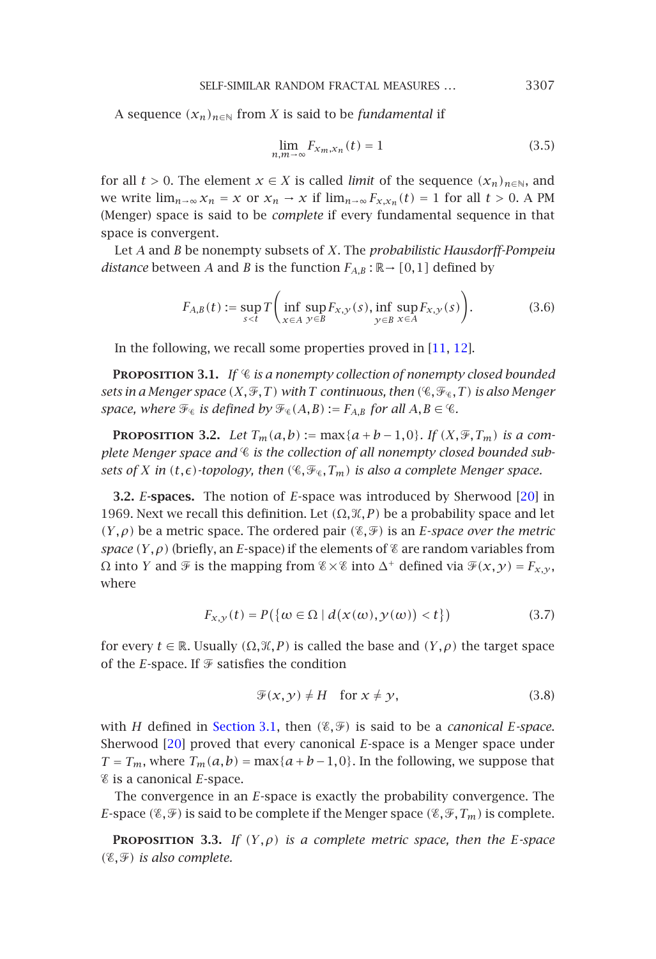SELF-SIMILAR RANDOM FRACTAL MEASURES *...* 3307

A sequence  $(x_n)_{n \in \mathbb{N}}$  from *X* is said to be *fundamental* if

$$
\lim_{n,m \to \infty} F_{x_m, x_n}(t) = 1 \tag{3.5}
$$

for all *t* > 0. The element  $x \in X$  is called *limit* of the sequence  $(x_n)_{n \in \mathbb{N}}$ , and we write  $\lim_{n\to\infty} x_n = x$  or  $x_n \to x$  if  $\lim_{n\to\infty} F_{x,x_n}(t) = 1$  f[or a](#page-13-9)ll  $t > 0$ . A PM (Menger) space is said to be *complete* if every fundamental sequence in that space is convergent.

Let *A* and *B* be nonempty subsets of *X*. The *probabilistic Hausdorff-Pompeiu distance* between *A* and *B* is the function  $F_{A,B}$ :  $\mathbb{R} \rightarrow [0,1]$  defined by

$$
F_{A,B}(t) := \sup_{s < t} T\left(\inf_{x \in A} \sup_{y \in B} F_{x,y}(s), \inf_{y \in B} \sup_{x \in A} F_{x,y}(s)\right). \tag{3.6}
$$

In the following, we recall some properties proved in [11, 12].

**Proposition 3.1.** *If is a nonempty collection of nonempty closed bounded sets in a Menger space*  $(X, \mathcal{F}, T)$  *with T continuous, then*  $(\mathcal{C}, \mathcal{F}_\mathcal{C}, T)$  *is also Menger space, where*  $\mathcal{F}_{\varrho}$  *is defined by*  $\mathcal{F}_{\varrho}(A,B) := F_{A,B}$  *for all*  $A, B \in \varrho$ .

**PROPOSITION** 3.2. *Let*  $T_m(a,b) := \max\{a+b-1,0\}$ *. If*  $(X,\mathcal{F},T_m)$  *is a complete Menger space and is the collection of all nonempty closed bounded subsets of X* in  $(t, \epsilon)$  *-topology, then*  $(\mathcal{C}, \mathcal{F}_{\epsilon}, T_m)$  *is also a complete Menger space.* 

**3.2.** *E***-spaces.** The notion of *E*-space was introduced by Sherwood [20] in 1969. Next we recall this definition. Let  $(Ω, ℜ, P)$  be a probability space and let  $(Y, \rho)$  be a metric space. The ordered pair  $(\mathscr{E}, \mathscr{F})$  is an *E*-*space over the metric space*  $(Y, \rho)$  (briefly, an *E*-space) if the elements of  $\mathscr E$  are random variables from  $Ω$  into *Y* and  $\mathcal{F}$  is [the mapping](#page-6-1) from  $\mathcal{E} \times \mathcal{E}$  into  $Δ^+$  defined via  $\mathcal{F}(x, y) = F_{x, y}$ , where

$$
F_{X,Y}(t) = P(\{\omega \in \Omega \mid d(x(\omega), y(\omega)) < t\})\tag{3.7}
$$

<span id="page-8-0"></span>for every *t*  $\in \mathbb{R}$ . Usually  $(\Omega, \mathcal{K}, P)$  is called the base and  $(Y, \rho)$  the target space of the *E*-space. If  $\mathcal F$  satisfies the condition

$$
\mathcal{F}(x, y) \neq H \quad \text{for } x \neq y,\tag{3.8}
$$

with *H* defined in Section 3.1, then  $(\mathscr{E}, \mathscr{F})$  is said to be a *canonical E-space*. Sherwood [20] proved that every canonical *E*-space is a Menger space under *T* = *T<sub>m</sub>*, where *T<sub>m</sub>*( $a$ , $b$ ) = max{ $a$  +  $b$  - 1, 0}. In the following, we suppose that is a canonical *E*-space.

The convergence in an *E*-space is exactly the probability convergence. The *E*-space  $(\mathscr{E}, \mathscr{F})$  is said to be complete if the Menger space  $(\mathscr{E}, \mathscr{F}, T_m)$  is complete.

**PROPOSITION** 3.3. *If*  $(Y, \rho)$  *is a complete metric space, then the E-space*  $(\mathscr{E}, \mathscr{F})$  *is also complete.*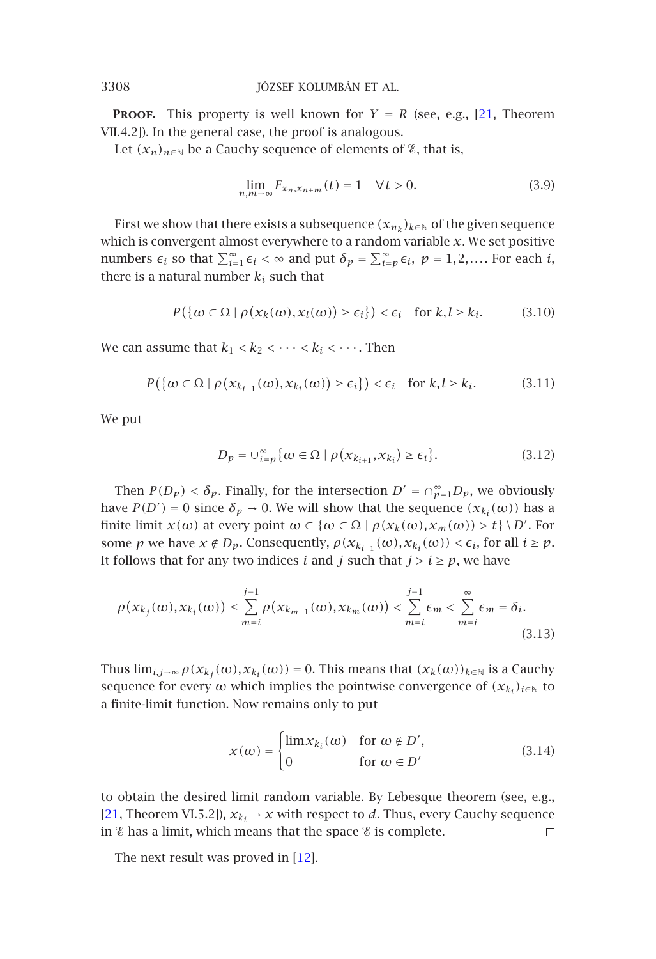**PROOF.** This property is well known for  $Y = R$  (see, e.g., [21, Theorem VII.4.2]). In the general case, the proof is analogous.

Let  $(x_n)_{n \in \mathbb{N}}$  be a Cauchy sequence of elements of  $\mathscr{E}$ , that is,

$$
\lim_{n,m \to \infty} F_{x_n, x_{n+m}}(t) = 1 \quad \forall t > 0.
$$
 (3.9)

First we show that there exists a subsequence  $(x_{n_k})_{k\in\mathbb{N}}$  of the given sequence which is convergent almost everywhere to a random variable *x*. We set positive numbers  $\epsilon_i$  so that  $\sum_{i=1}^{\infty} \epsilon_i < \infty$  and put  $\delta_p = \sum_{i=p}^{\infty} \epsilon_i$ ,  $p = 1, 2, \dots$ . For each *i*, there is a natural number  $k_i$  such that

$$
P(\{\omega \in \Omega \mid \rho(x_k(\omega), x_l(\omega)) \ge \epsilon_i\}) < \epsilon_i \quad \text{for } k, l \ge k_i. \tag{3.10}
$$

We can assume that  $k_1 < k_2 < \cdots < k_i < \cdots$ . Then

$$
P(\{\omega \in \Omega \mid \rho(x_{k_{i+1}}(\omega), x_{k_i}(\omega)) \ge \epsilon_i\}) < \epsilon_i \quad \text{for } k, l \ge k_i. \tag{3.11}
$$

We put

$$
D_p = \bigcup_{i=p}^{\infty} \{ \omega \in \Omega \mid \rho(x_{k_{i+1}}, x_{k_i}) \ge \epsilon_i \}. \tag{3.12}
$$

Then  $P(D_p) < \delta_p$ . Finally, for the intersection  $D' = \bigcap_{p=1}^{\infty} D_p$ , we obviously have  $P(D') = 0$  since  $\delta_p \to 0$ . We will show that the sequence  $(x_{k_i}(\omega))$  has a finite limit  $x(\omega)$  at every point  $\omega \in {\omega \in \Omega \mid \rho(x_k(\omega), x_m(\omega)) > t} \setminus D'$ . For some *p* we have  $x \notin D_p$ . Consequently,  $\rho(x_{k_{i+1}}(\omega), x_{k_i}(\omega)) < \epsilon_i$ , for all  $i \geq p$ . It follows that for any two indices *i* and *j* such that  $j > i \ge p$ , we have

$$
\rho(x_{k_j}(\omega), x_{k_i}(\omega)) \leq \sum_{m=i}^{j-1} \rho(x_{k_{m+1}}(\omega), x_{k_m}(\omega)) < \sum_{m=i}^{j-1} \epsilon_m < \sum_{m=i}^{\infty} \epsilon_m = \delta_i.
$$
\n(3.13)

[Thu](#page-14-6)s  $\lim_{i,j\to\infty} \rho(x_{k_i}(\omega), x_{k_i}(\omega)) = 0$ . This means that  $(x_k(\omega))_{k\in\mathbb{N}}$  is a Cauchy sequence for every  $\omega$  which implies the pointwise convergence of  $(x_{k_i})_{i\in\mathbb{N}}$  to a finite-limit function. Now rema[ins](#page-13-9) only to put

$$
x(\omega) = \begin{cases} \lim x_{k_i}(\omega) & \text{for } \omega \notin D', \\ 0 & \text{for } \omega \in D' \end{cases}
$$
 (3.14)

to obtain the desired limit random variable. By Lebesque theorem (see, e.g., [21, Theorem VI.5.2]),  $x_{k_i} \rightarrow x$  with respect to *d*. Thus, every Cauchy sequence in  $\varepsilon$  has a limit, which means that the space  $\varepsilon$  is complete. П

The next result was proved in [12].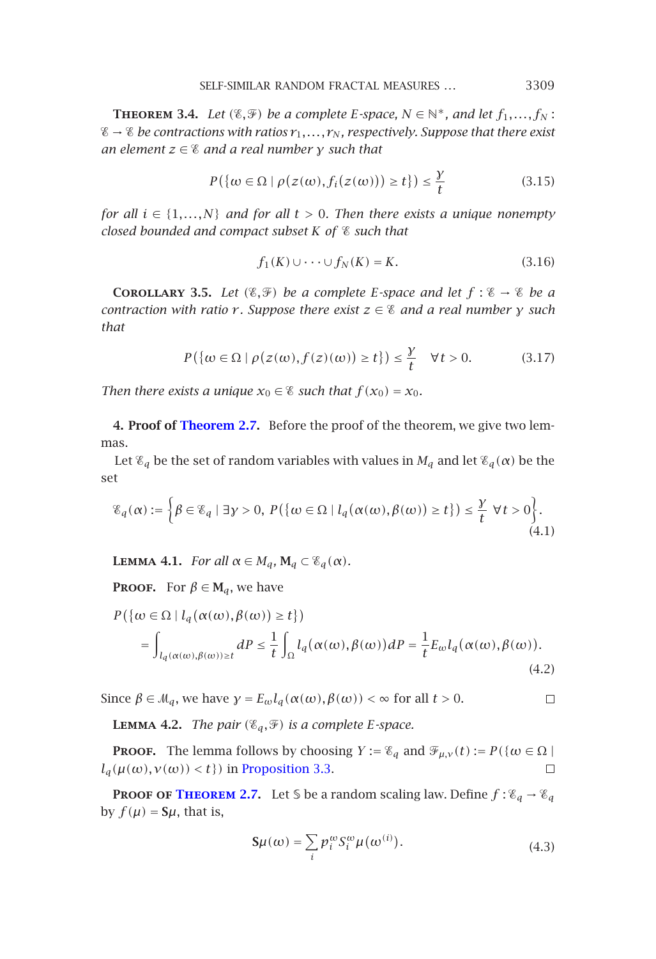SELF-SIMILAR RANDOM FRACTAL MEASURES *...* 3309

**THEOREM** 3.4. Let  $(\mathscr{E}, \mathscr{F})$  be a complete *E*-space,  $N \in \mathbb{N}^*$ , and let  $f_1, \ldots, f_N$ :  $\mathscr{E} \to \mathscr{E}$  *be contractions with ratios*  $r_1, \ldots, r_N$ *, respectively. Suppose that there exist an element z* ∈ *and a real number γ such that*

$$
P(\{\omega \in \Omega \mid \rho(z(\omega), f_i(z(\omega))) \ge t\}) \le \frac{y}{t}
$$
\n(3.15)

*for all*  $i \in \{1, \ldots, N\}$  *and for all*  $t > 0$ *. Then there exists a unique nonempty closed bounded and compact subset K of such that*

$$
f_1(K)\cup\cdots\cup f_N(K)=K.\tag{3.16}
$$

**COROLLARY** 3.5. Let  $(\mathscr{E}, \mathscr{F})$  be a complete *E*-space and let  $f : \mathscr{E} \to \mathscr{E}$  be a *contraction with ratio r . Suppose there exist z* ∈ *and a real number γ such that*

$$
P(\{\omega \in \Omega \mid \rho(z(\omega), f(z)(\omega)) \ge t\}) \le \frac{y}{t} \quad \forall t > 0. \tag{3.17}
$$

*Then there exists a unique*  $x_0 \in \mathscr{E}$  *such that*  $f(x_0) = x_0$ *.* 

**4. Proof of Theorem 2.7.** Before the proof of the theorem, we give two lemmas.

Let  $\mathcal{E}_q$  be the set of random variables with values in  $M_q$  and let  $\mathcal{E}_q(\alpha)$  be the set

$$
\mathcal{E}_q(\alpha) := \left\{ \beta \in \mathcal{E}_q \mid \exists y > 0, \ P\left(\{\omega \in \Omega \mid l_q(\alpha(\omega), \beta(\omega)) \ge t\right\}\right) \le \frac{y}{t} \ \forall t > 0 \right\}.
$$
\n(4.1)

**LEMMA 4.1.** *For all*  $\alpha \in M_q$ ,  $\mathbf{M}_q \subset \mathcal{E}_q(\alpha)$ *.* 

**PROOF.** For  $\beta \in M_q$ , we have

$$
P(\{\omega \in \Omega \mid l_q(\alpha(\omega), \beta(\omega)) \ge t\})
$$
  
= 
$$
\int_{l_q(\alpha(\omega), \beta(\omega)) \ge t} dP \le \frac{1}{t} \int_{\Omega} l_q(\alpha(\omega), \beta(\omega)) dP = \frac{1}{t} E_{\omega} l_q(\alpha(\omega), \beta(\omega)).
$$
 (4.2)

Since  $\beta \in M_q$ , we have  $\gamma = E_{\omega} l_q(\alpha(\omega), \beta(\omega)) < \infty$  for all  $t > 0$ .  $\Box$ 

**LEMMA 4.2.** *The pair*  $(\mathscr{E}_q, \mathscr{F})$  *is a complete E-space.* 

**PROOF.** The lemma follows by choosing  $Y := \mathscr{C}_q$  and  $\mathscr{F}_{\mu,\nu}(t) := P(\{\omega \in \Omega \mid \Omega\})$  $l_q(\mu(\omega), \nu(\omega)) < t$ } in Proposition 3.3.  $\Box$ 

**PROOF OF THEOREM 2.7.** Let S be a random scaling law. Define  $f : \mathscr{C}_q \to \mathscr{C}_q$ by  $f(\mu) = S\mu$ , that is,

$$
\mathbf{S}\mu(\omega) = \sum_{i} p_i^{\omega} S_i^{\omega} \mu(\omega^{(i)}).
$$
 (4.3)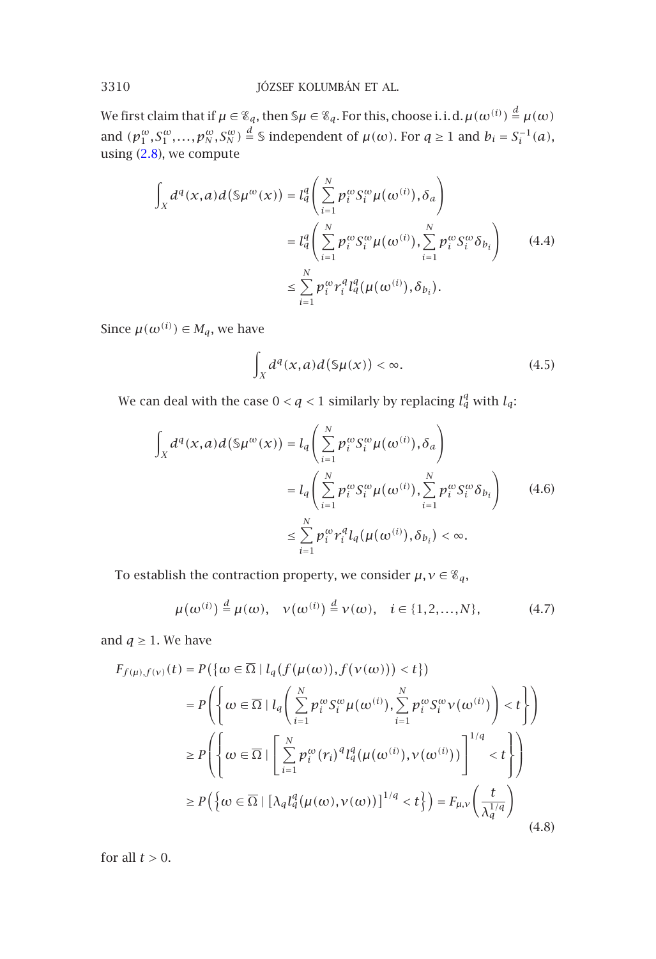We first claim that if  $\mu \in \mathscr{E}_q$ , then  $\mathbb{S}\mu \in \mathscr{E}_q$ . For this, choose i.i.d.  $\mu(\omega^{(i)}) \stackrel{d}{=} \mu(\omega)$ and  $(p_1^{\omega}, S_1^{\omega}, \ldots, p_N^{\omega}, S_N^{\omega}) \stackrel{d}{=} \mathbb{S}$  independent of  $\mu(\omega)$ . For  $q \ge 1$  and  $b_i = S_i^{-1}(a)$ , using (2.8), we compute

$$
\int_{X} d^{q}(x,a)d(\mathfrak{S}\mu^{\omega}(x)) = l_{q}^{q} \left( \sum_{i=1}^{N} p_{i}^{\omega} S_{i}^{\omega} \mu(\omega^{(i)}), \delta_{a} \right)
$$
\n
$$
= l_{q}^{q} \left( \sum_{i=1}^{N} p_{i}^{\omega} S_{i}^{\omega} \mu(\omega^{(i)}), \sum_{i=1}^{N} p_{i}^{\omega} S_{i}^{\omega} \delta_{b_{i}} \right) \qquad (4.4)
$$
\n
$$
\leq \sum_{i=1}^{N} p_{i}^{\omega} r_{i}^{q} l_{q}^{q} (\mu(\omega^{(i)}), \delta_{b_{i}}).
$$

Since  $\mu(\omega^{(i)}) \in M_q$ , we have

$$
\int_X d^q(x,a)d(\mathsf{S}\mu(x)) < \infty. \tag{4.5}
$$

We can deal with the case  $0 < q < 1$  similarly by replacing  $l_q^q$  with  $l_q$ :

$$
\int_{X} d^{q}(x,a)d(\mathfrak{S}\mu^{\omega}(x)) = l_{q}\left(\sum_{i=1}^{N} p_{i}^{\omega} S_{i}^{\omega} \mu(\omega^{(i)}), \delta_{a}\right)
$$
\n
$$
= l_{q}\left(\sum_{i=1}^{N} p_{i}^{\omega} S_{i}^{\omega} \mu(\omega^{(i)}), \sum_{i=1}^{N} p_{i}^{\omega} S_{i}^{\omega} \delta_{b_{i}}\right) \qquad (4.6)
$$
\n
$$
\leq \sum_{i=1}^{N} p_{i}^{\omega} r_{i}^{q} l_{q}(\mu(\omega^{(i)}), \delta_{b_{i}}) < \infty.
$$

To establish the contraction property, we consider  $\mu, \nu \in \mathcal{E}_q$ ,

$$
\mu(\omega^{(i)}) \stackrel{d}{=} \mu(\omega), \quad \nu(\omega^{(i)}) \stackrel{d}{=} \nu(\omega), \quad i \in \{1, 2, \dots, N\},\tag{4.7}
$$

and  $q \geq 1$ . We have

$$
F_{f(\mu),f(\nu)}(t) = P(\{\omega \in \overline{\Omega} \mid l_q(f(\mu(\omega)), f(\nu(\omega))) < t\})
$$
  
\n
$$
= P\left(\left\{\omega \in \overline{\Omega} \mid l_q\left(\sum_{i=1}^N p_i^{\omega} S_i^{\omega} \mu(\omega^{(i)}), \sum_{i=1}^N p_i^{\omega} S_i^{\omega} \nu(\omega^{(i)})\right) < t\right\}\right)
$$
  
\n
$$
\ge P\left(\left\{\omega \in \overline{\Omega} \mid \left[\sum_{i=1}^N p_i^{\omega}(r_i)^q l_q^q(\mu(\omega^{(i)}), \nu(\omega^{(i)}))\right]^{1/q} < t\right\}\right)
$$
  
\n
$$
\ge P\left(\left\{\omega \in \overline{\Omega} \mid [\lambda_q l_q^q(\mu(\omega), \nu(\omega))]^{1/q} < t\right\}\right) = F_{\mu,\nu}\left(\frac{t}{\lambda_q^{1/q}}\right)
$$
(4.8)

for all  $t > 0$ .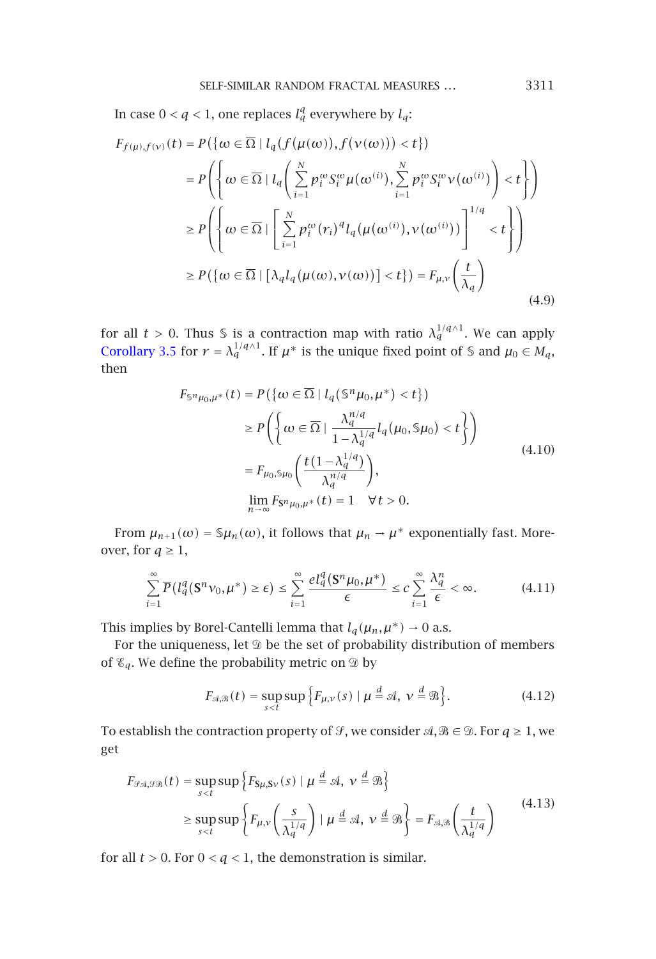In case  $0 < q < 1$ , one replaces  $l_q^q$  everywhere by  $l_q$ :

$$
F_{f(\mu),f(\nu)}(t) = P(\lbrace \omega \in \overline{\Omega} \mid l_q(f(\mu(\omega)), f(\nu(\omega))) < t \rbrace)
$$
  
\n
$$
= P\left(\lbrace \omega \in \overline{\Omega} \mid l_q\left(\sum_{i=1}^N p_i^{\omega} S_i^{\omega} \mu(\omega^{(i)}), \sum_{i=1}^N p_i^{\omega} S_i^{\omega} \nu(\omega^{(i)})\right) < t \rbrace\right)
$$
  
\n
$$
\geq P\left(\lbrace \omega \in \overline{\Omega} \mid \left[\sum_{i=1}^N p_i^{\omega}(r_i)^{q} l_q(\mu(\omega^{(i)}), \nu(\omega^{(i)}))\right]^{1/q} < t \rbrace\right)
$$
  
\n
$$
\geq P(\lbrace \omega \in \overline{\Omega} \mid [\lambda_q l_q(\mu(\omega), \nu(\omega))] < t \rbrace) = F_{\mu, \nu}\left(\frac{t}{\lambda_q}\right)
$$
(4.9)

for all  $t > 0$ . Thus *S* is a contraction map with ratio  $\lambda_q^{1/q}$ . We can apply Corollary 3.5 for  $r = \lambda_q^{1/q \wedge 1}$ . If  $\mu^*$  is the unique fixed point of S and  $\mu_0 \in M_q$ , then

$$
F_{\mathbb{S}^n\mu_0,\mu^*}(t) = P(\{\omega \in \overline{\Omega} \mid l_q(\mathbb{S}^n\mu_0, \mu^*) < t\})
$$
  
\n
$$
\ge P\left(\left\{\omega \in \overline{\Omega} \mid \frac{\lambda_q^{n/q}}{1 - \lambda_q^{1/q}} l_q(\mu_0, \mathbb{S}\mu_0) < t\right\}\right)
$$
  
\n
$$
= F_{\mu_0, \mathbb{S}\mu_0}\left(\frac{t(1 - \lambda_q^{1/q})}{\lambda_q^{n/q}}\right),
$$
  
\n
$$
\lim_{n \to \infty} F_{\mathbb{S}^n\mu_0, \mu^*}(t) = 1 \quad \forall t > 0.
$$
\n(4.10)

From  $\mu_{n+1}(\omega) = \mathcal{S}\mu_n(\omega)$ , it follows that  $\mu_n \to \mu^*$  exponentially fast. Moreover, for  $q\geq 1,$ 

$$
\sum_{i=1}^{\infty} \overline{P}(l_q^q(\mathbf{S}^n \nu_0, \mu^*) \ge \epsilon) \le \sum_{i=1}^{\infty} \frac{el_q^q(\mathbf{S}^n \mu_0, \mu^*)}{\epsilon} \le c \sum_{i=1}^{\infty} \frac{\lambda_q^n}{\epsilon} < \infty. \tag{4.11}
$$

This implies by Borel-Cantelli lemma that  $l_q(\mu_n, \mu^*) \to 0$  a.s.

For the uniqueness, let  $\mathfrak D$  be the set of probability distribution of members of  $\mathscr{E}_q$ . We define the probability metric on  $\mathscr{D}$  by

$$
F_{\mathcal{A},\mathcal{B}}(t) = \sup_{s (4.12)
$$

To establish the contraction property of  $\mathcal{G}$ , we consider  $\mathcal{A}, \mathcal{B} \in \mathcal{D}$ . For  $q \ge 1$ , we get

$$
F_{\mathcal{G}\mathcal{A},\mathcal{G}\mathcal{B}}(t) = \sup_{s  
 
$$
\geq \sup_{s
$$
$$

for all  $t>0.$  For  $0< q <1,$  the demonstration is similar.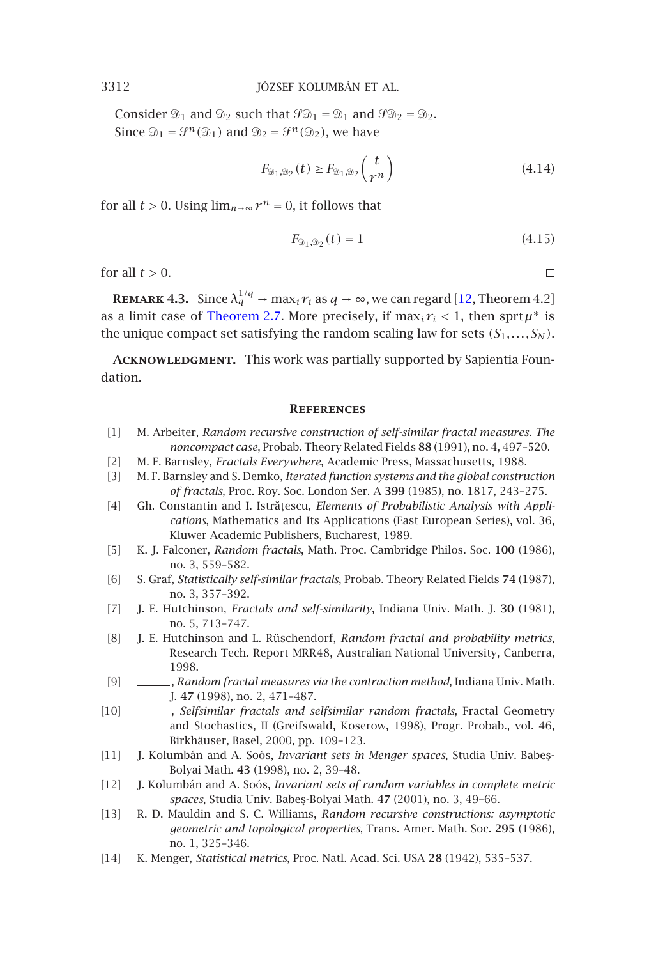Consider  $\mathfrak{D}_1$  and  $\mathfrak{D}_2$  such that  $\mathfrak{PO}_1 = \mathfrak{D}_1$  and  $\mathfrak{PO}_2 = \mathfrak{D}_2$ . Since  $\mathfrak{D}_1 = \mathcal{G}^n(\mathfrak{D}_1)$  and  $\mathfrak{D}_2 = \mathcal{G}^n(\mathfrak{D}_2)$ , we have

$$
F_{\mathfrak{D}_1,\mathfrak{D}_2}(t) \ge F_{\mathfrak{D}_1,\mathfrak{D}_2}\left(\frac{t}{r^n}\right) \tag{4.14}
$$

for all  $t > 0$ . Using  $\lim_{n \to \infty} r^n = 0$ , it follows that

$$
F_{\mathfrak{D}_1,\mathfrak{D}_2}(t) = 1\tag{4.15}
$$

 $\Box$ 

for all  $t > 0$ .

<span id="page-13-2"></span><span id="page-13-1"></span>**REMARK 4.3.** Since  $\lambda_q^{1/q} \to \max_i r_i$  as  $q \to \infty$ , we can regard [12, Theorem 4.2] as a limit case of Theorem 2.7. More precisely, if  $\max_i r_i < 1$ , then  $\text{sprt}\mu^*$  is the unique compact set satisfying the random scaling law for sets  $(S_1, \ldots, S_N)$ .

<span id="page-13-7"></span><span id="page-13-3"></span>**Acknowledgment.** This work was partially supported by Sapientia Foundation.

#### **References**

- <span id="page-13-4"></span><span id="page-13-0"></span>[1] M. Arbeiter, *Random recursive construction of self-similar fractal measures. The noncompact case*, Probab. Theory Related Fields **88** (1991), no. 4, 497–520.
- [2] M. F. Barnsley, *Fractals Everywhere*, Academic Press, Massachusetts, 1988.
- [3] M. F. Barnsley and S. Demko, *Iterated function systems and the global construction of fractals*, Proc. Roy. Soc. London Ser. A **399** (1985), no. 1817, 243–275.
- [4] Gh. Constantin and I. Istrățescu, *Elements of Probabilistic Analysis with Applications*, Mathematics and Its Applications (East European Series), vol. 36, Kluwer Academic Publishers, Bucharest, 1989.
- [5] K. J. Falconer, *Random fractals*, Math. Proc. Cambridge Philos. Soc. **100** (1986), no. 3, 559–582.
- <span id="page-13-8"></span>[6] S. Graf, *Statistically self-similar fractals*, Probab. Theory Related Fields **74** (1987), no. 3, 357–392.
- <span id="page-13-9"></span>[7] J. E. Hutchinson, *Fractals and self-similarity*, Indiana Univ. Math. J. **30** (1981), no. 5, 713–747.
- <span id="page-13-5"></span>[8] J. E. Hutchinson and L. Rüschendorf, *Random fractal and probability metrics*, Research Tech. Report MRR48, Australian National University, Canberra, 1998.
- [9] , *Random fractal measures via the contraction method*, Indiana Univ. Math. J. **47** (1998), no. 2, 471–487.
- <span id="page-13-6"></span>[10] , *Selfsimilar fractals and selfsimilar random fractals*, Fractal Geometry and Stochastics, II (Greifswald, Koserow, 1998), Progr. Probab., vol. 46, Birkhäuser, Basel, 2000, pp. 109–123.
- [11] J. Kolumbán and A. Soós, *Invariant sets in Menger spaces*, Studia Univ. Babe¸s-Bolyai Math. **43** (1998), no. 2, 39–48.
- [12] J. Kolumbán and A. Soós, *Invariant sets of random variables in complete metric spaces*, Studia Univ. Babe¸s-Bolyai Math. **47** (2001), no. 3, 49–66.
- [13] R. D. Mauldin and S. C. Williams, *Random recursive constructions: asymptotic geometric and topological properties*, Trans. Amer. Math. Soc. **295** (1986), no. 1, 325–346.
- [14] K. Menger, *Statistical metrics*, Proc. Natl. Acad. Sci. USA **28** (1942), 535–537.